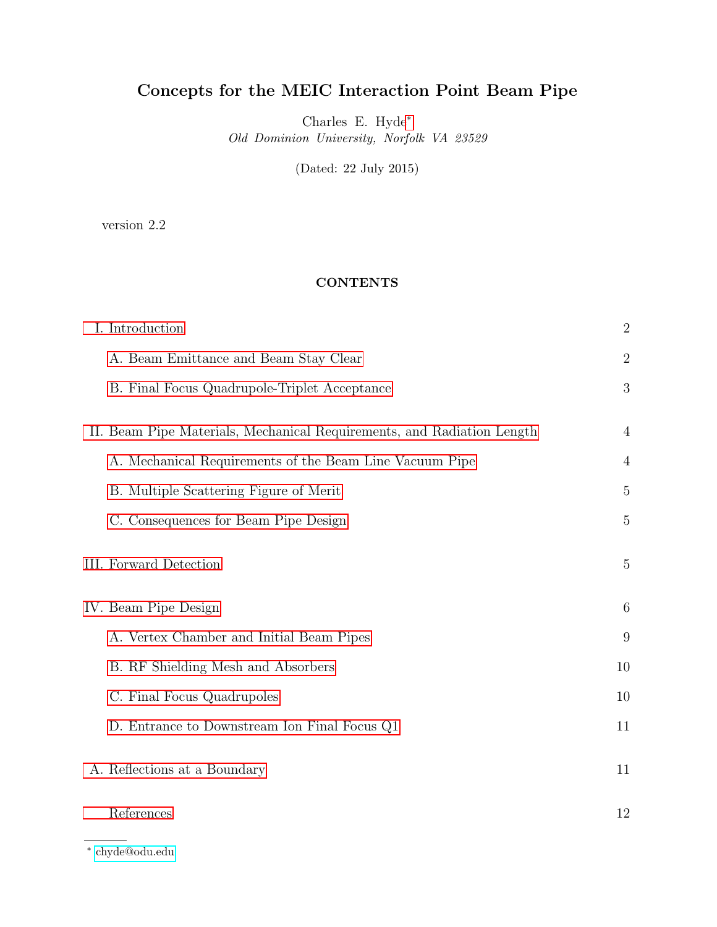# Concepts for the MEIC Interaction Point Beam Pipe

Charles E. Hyde[∗](#page-0-0) Old Dominion University, Norfolk VA 23529

(Dated: 22 July 2015)

version 2.2

# CONTENTS

| I. Introduction                                                        | $\overline{2}$   |
|------------------------------------------------------------------------|------------------|
| A. Beam Emittance and Beam Stay Clear                                  | $\overline{2}$   |
| B. Final Focus Quadrupole-Triplet Acceptance                           | 3                |
| II. Beam Pipe Materials, Mechanical Requirements, and Radiation Length | $\overline{4}$   |
| A. Mechanical Requirements of the Beam Line Vacuum Pipe                | $\overline{4}$   |
| B. Multiple Scattering Figure of Merit                                 | 5                |
| C. Consequences for Beam Pipe Design                                   | $\overline{5}$   |
| III. Forward Detection                                                 | $\overline{5}$   |
| IV. Beam Pipe Design                                                   | $\boldsymbol{6}$ |
| A. Vertex Chamber and Initial Beam Pipes                               | 9                |
| B. RF Shielding Mesh and Absorbers                                     | 10               |
| C. Final Focus Quadrupoles                                             | 10               |
| D. Entrance to Downstream Ion Final Focus Q1                           | 11               |
| A. Reflections at a Boundary                                           | 11               |
| References                                                             | 12               |

<span id="page-0-0"></span>∗ [chyde@odu.edu](mailto:chyde@odu.edu)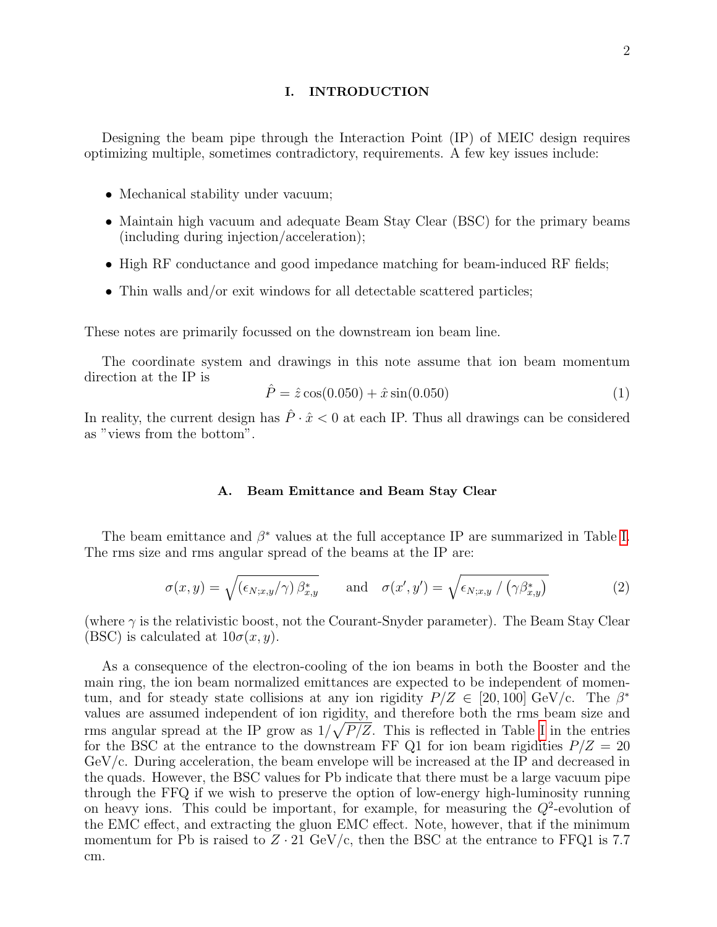#### <span id="page-1-0"></span>I. INTRODUCTION

Designing the beam pipe through the Interaction Point (IP) of MEIC design requires optimizing multiple, sometimes contradictory, requirements. A few key issues include:

- Mechanical stability under vacuum;
- Maintain high vacuum and adequate Beam Stay Clear (BSC) for the primary beams (including during injection/acceleration);
- High RF conductance and good impedance matching for beam-induced RF fields;
- Thin walls and/or exit windows for all detectable scattered particles;

These notes are primarily focussed on the downstream ion beam line.

The coordinate system and drawings in this note assume that ion beam momentum direction at the IP is

$$
\hat{P} = \hat{z}\cos(0.050) + \hat{x}\sin(0.050)
$$
\n(1)

In reality, the current design has  $\hat{P} \cdot \hat{x} < 0$  at each IP. Thus all drawings can be considered as "views from the bottom".

#### <span id="page-1-1"></span>A. Beam Emittance and Beam Stay Clear

The beam emittance and  $\beta^*$  values at the full acceptance IP are summarized in Table [I.](#page-2-1) The rms size and rms angular spread of the beams at the IP are:

$$
\sigma(x,y) = \sqrt{(\epsilon_{N;x,y}/\gamma) \beta_{x,y}^*} \quad \text{and} \quad \sigma(x',y') = \sqrt{\epsilon_{N;x,y}/(\gamma \beta_{x,y}^*)}
$$
(2)

(where  $\gamma$  is the relativistic boost, not the Courant-Snyder parameter). The Beam Stay Clear (BSC) is calculated at  $10\sigma(x, y)$ .

As a consequence of the electron-cooling of the ion beams in both the Booster and the main ring, the ion beam normalized emittances are expected to be independent of momentum, and for steady state collisions at any ion rigidity  $P/Z \in [20, 100]$  GeV/c. The  $\beta^*$ values are assumed independent of ion rigidity, and therefore both the rms beam size and rms angular spread at the [I](#page-2-1)P grow as  $1/\sqrt{P/Z}$ . This is reflected in Table I in the entries for the BSC at the entrance to the downstream FF Q1 for ion beam rigidities  $P/Z = 20$ GeV/c. During acceleration, the beam envelope will be increased at the IP and decreased in the quads. However, the BSC values for Pb indicate that there must be a large vacuum pipe through the FFQ if we wish to preserve the option of low-energy high-luminosity running on heavy ions. This could be important, for example, for measuring the  $Q^2$ -evolution of the EMC effect, and extracting the gluon EMC effect. Note, however, that if the minimum momentum for Pb is raised to  $Z \cdot 21$  GeV/c, then the BSC at the entrance to FFQ1 is 7.7 cm.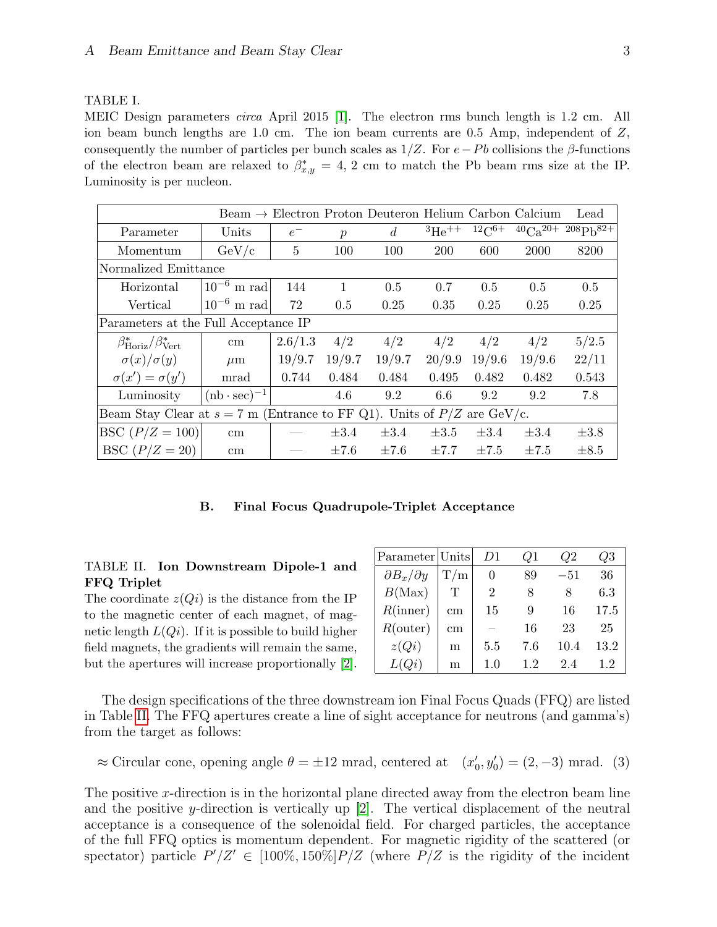#### <span id="page-2-1"></span>TABLE I.

MEIC Design parameters circa April 2015 [\[1\]](#page-11-1). The electron rms bunch length is 1.2 cm. All ion beam bunch lengths are 1.0 cm. The ion beam currents are 0.5 Amp, independent of  $Z$ , consequently the number of particles per bunch scales as  $1/Z$ . For  $e-Pb$  collisions the  $\beta$ -functions of the electron beam are relaxed to  $\beta_{x,y}^* = 4, 2$  cm to match the Pb beam rms size at the IP. Luminosity is per nucleon.

|                                                                             |                        |         |                  | $Beam \rightarrow Electron$ Proton Deuteron Helium Carbon Calcium |               |               |           | Lead                       |  |
|-----------------------------------------------------------------------------|------------------------|---------|------------------|-------------------------------------------------------------------|---------------|---------------|-----------|----------------------------|--|
| Parameter                                                                   | Units                  | $e^-$   | $\boldsymbol{p}$ | $\overline{d}$                                                    | $^{3}He^{++}$ | $^{12}C^{6+}$ |           | $^{40}Ca^{20+208}Ph^{82+}$ |  |
| Momentum                                                                    | $\rm GeV/c$            | 5       | 100              | 100                                                               | <b>200</b>    | 600           | 2000      | 8200                       |  |
| Normalized Emittance                                                        |                        |         |                  |                                                                   |               |               |           |                            |  |
| Horizontal                                                                  | $10^{-6}$ m rad        | 144     | 1                | 0.5                                                               | 0.7           | 0.5           | 0.5       | $0.5^{\circ}$              |  |
| Vertical                                                                    | $10^{-6}$ m rad        | 72      | 0.5              | 0.25                                                              | 0.35          | 0.25          | 0.25      | 0.25                       |  |
| Parameters at the Full Acceptance IP                                        |                        |         |                  |                                                                   |               |               |           |                            |  |
| $\beta^*_{\text{Horiz}}/\beta^*_{\text{Vert}}$                              | $\,\mathrm{cm}$        | 2.6/1.3 | 4/2              | 4/2                                                               | 4/2           | 4/2           | 4/2       | 5/2.5                      |  |
| $\sigma(x)/\sigma(y)$                                                       | $\mu$ m                | 19/9.7  | 19/9.7           | 19/9.7                                                            | 20/9.9        | 19/9.6        | 19/9.6    | 22/11                      |  |
| $\sigma(x') = \sigma(y')$                                                   | mrad                   | 0.744   | 0.484            | 0.484                                                             | 0.495         | 0.482         | 0.482     | 0.543                      |  |
| Luminosity                                                                  | $(hb \cdot \sec)^{-1}$ |         | 4.6              | 9.2                                                               | 6.6           | 9.2           | 9.2       | 7.8                        |  |
| Beam Stay Clear at $s = 7$ m (Entrance to FF Q1). Units of $P/Z$ are GeV/c. |                        |         |                  |                                                                   |               |               |           |                            |  |
| BSC $(P/Z = 100)$                                                           | $\,\mathrm{cm}$        |         | $\pm 3.4$        | $\pm 3.4$                                                         | $\pm 3.5$     | $\pm 3.4$     | $\pm 3.4$ | $\pm 3.8$                  |  |
| BSC $(P/Z = 20)$                                                            | cm                     |         | $\pm 7.6$        | $\pm 7.6$                                                         | $\pm 7.7$     | $\pm 7.5$     | $\pm 7.5$ | $\pm 8.5$                  |  |

#### <span id="page-2-0"></span>B. Final Focus Quadrupole-Triplet Acceptance

# <span id="page-2-2"></span>TABLE II. Ion Downstream Dipole-1 and FFQ Triplet

The coordinate  $z(Q_i)$  is the distance from the IP to the magnetic center of each magnet, of magnetic length  $L(Q_i)$ . If it is possible to build higher field magnets, the gradients will remain the same, but the apertures will increase proportionally [\[2\]](#page-11-2).

| Parameter Units           |                 | D1       | ω1  | 92    | 23   |
|---------------------------|-----------------|----------|-----|-------|------|
| $\partial B_x/\partial y$ | T/m             | $\theta$ | 89  | $-51$ | 36   |
| B(Max)                    | Т               | 2        | 8   | 8     | 6.3  |
| R(inner)                  | $\rm cm$        | 15       | 9   | 16    | 17.5 |
| $R$ (outer)               | $\,\mathrm{cm}$ |          | 16  | 23    | 25   |
| $z(Q_i)$                  | m               | 5.5      | 7.6 | 10.4  | 13.2 |
| L(Qi)                     | m               | 1.0      | 1.2 | 2.4   | 12   |

The design specifications of the three downstream ion Final Focus Quads (FFQ) are listed in Table [II.](#page-2-2) The FFQ apertures create a line of sight acceptance for neutrons (and gamma's) from the target as follows:

 $\approx$  Circular cone, opening angle  $\theta = \pm 12$  mrad, centered at  $(x'_0, y'_0) = (2, -3)$  mrad. (3)

The positive x-direction is in the horizontal plane directed away from the electron beam line and the positive y-direction is vertically up  $[2]$ . The vertical displacement of the neutral acceptance is a consequence of the solenoidal field. For charged particles, the acceptance of the full FFQ optics is momentum dependent. For magnetic rigidity of the scattered (or spectator) particle  $P'/Z' \in [100\%, 150\%]P/Z$  (where  $P/Z$  is the rigidity of the incident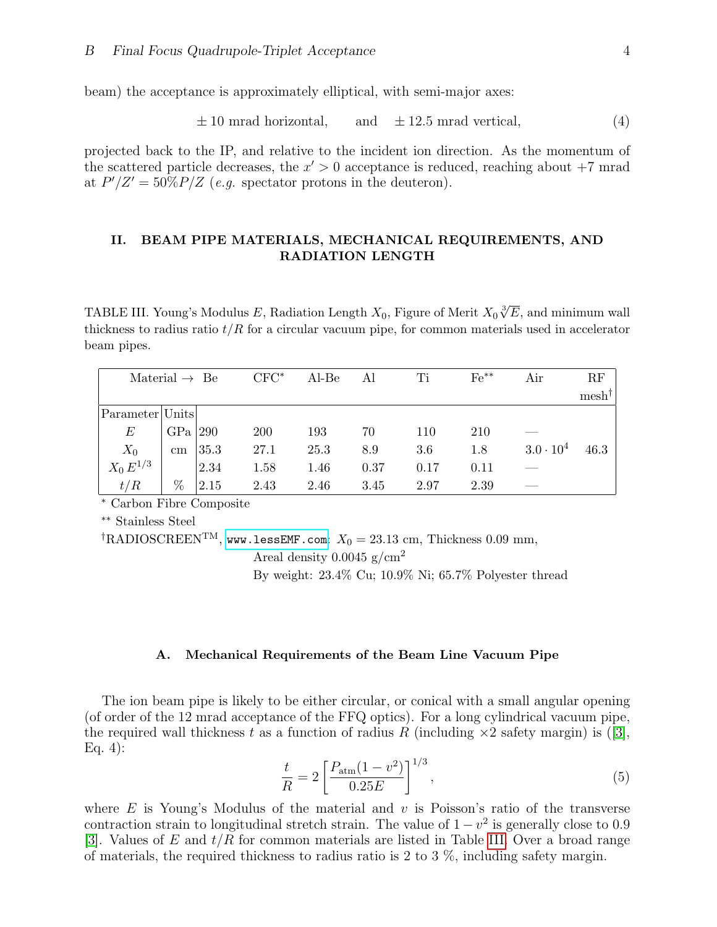beam) the acceptance is approximately elliptical, with semi-major axes:

$$
\pm 10 \text{ mrad horizontal}, \qquad \text{and} \qquad \pm 12.5 \text{ mrad vertical}, \tag{4}
$$

projected back to the IP, and relative to the incident ion direction. As the momentum of the scattered particle decreases, the  $x' > 0$  acceptance is reduced, reaching about  $+7$  mrad at  $P'/Z' = 50\%P/Z$  (e.g. spectator protons in the deuteron).

# <span id="page-3-0"></span>II. BEAM PIPE MATERIALS, MECHANICAL REQUIREMENTS, AND RADIATION LENGTH

<span id="page-3-2"></span>TABLE III. Young's Modulus E, Radiation Length  $X_0$ , Figure of Merit  $X_0 \sqrt[3]{E}$ , and minimum wall thickness to radius ratio  $t/R$  for a circular vacuum pipe, for common materials used in accelerator beam pipes.

|                                            | Material $\rightarrow$ Be |      | $CFC^*$ | $Al-Be$ | Al   | Ti   | $Fe^{**}$ | Air                | RF               |
|--------------------------------------------|---------------------------|------|---------|---------|------|------|-----------|--------------------|------------------|
|                                            |                           |      |         |         |      |      |           |                    | $mesh^{\dagger}$ |
| $\lvert$ Parameter $\lvert$ Units $\lvert$ |                           |      |         |         |      |      |           |                    |                  |
| E                                          | $GPa$ 290                 |      | 200     | 193     | 70   | 110  | 210       |                    |                  |
| $X_{0}$                                    | $\,\mathrm{cm}$           | 35.3 | 27.1    | 25.3    | 8.9  | 3.6  | 1.8       | $3.0 \cdot 10^{4}$ | 46.3             |
| $X_0 E^{1/3}$                              |                           | 2.34 | 1.58    | 1.46    | 0.37 | 0.17 | 0.11      |                    |                  |
| t/R                                        | %                         | 2.15 | 2.43    | 2.46    | 3.45 | 2.97 | 2.39      |                    |                  |

<sup>∗</sup> Carbon Fibre Composite

∗∗ Stainless Steel

<sup>†</sup>RADIOSCREEN<sup>TM</sup>, <www.lessEMF.com>:  $X_0 = 23.13$  cm, Thickness 0.09 mm,

Areal density  $0.0045$  g/cm<sup>2</sup>

By weight: 23.4% Cu; 10.9% Ni; 65.7% Polyester thread

## <span id="page-3-1"></span>A. Mechanical Requirements of the Beam Line Vacuum Pipe

The ion beam pipe is likely to be either circular, or conical with a small angular opening (of order of the 12 mrad acceptance of the FFQ optics). For a long cylindrical vacuum pipe, the required wall thickness t as a function of radius R (including  $\times 2$  safety margin) is ([\[3\]](#page-11-3), Eq. 4):

<span id="page-3-3"></span>
$$
\frac{t}{R} = 2 \left[ \frac{P_{\text{atm}}(1 - v^2)}{0.25E} \right]^{1/3},\tag{5}
$$

where  $E$  is Young's Modulus of the material and  $v$  is Poisson's ratio of the transverse contraction strain to longitudinal stretch strain. The value of  $1 - v^2$  is generally close to 0.9 [\[3\]](#page-11-3). Values of E and  $t/R$  for common materials are listed in Table [III.](#page-3-2) Over a broad range of materials, the required thickness to radius ratio is 2 to 3 %, including safety margin.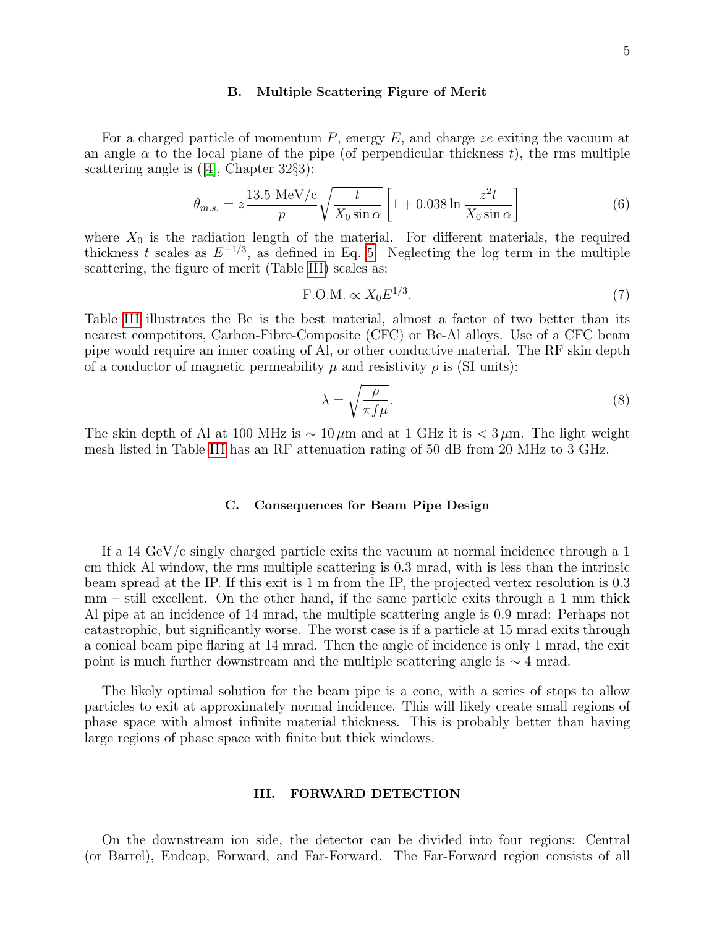#### <span id="page-4-0"></span>B. Multiple Scattering Figure of Merit

For a charged particle of momentum  $P$ , energy  $E$ , and charge ze exiting the vacuum at an angle  $\alpha$  to the local plane of the pipe (of perpendicular thickness t), the rms multiple scattering angle is  $(|4|, \text{ Chapter } 32\S3)$ :

$$
\theta_{m.s.} = z \frac{13.5 \text{ MeV/c}}{p} \sqrt{\frac{t}{X_0 \sin \alpha}} \left[ 1 + 0.038 \ln \frac{z^2 t}{X_0 \sin \alpha} \right] \tag{6}
$$

where  $X_0$  is the radiation length of the material. For different materials, the required thickness t scales as  $E^{-1/3}$ , as defined in Eq. [5.](#page-3-3) Neglecting the log term in the multiple scattering, the figure of merit (Table [III\)](#page-3-2) scales as:

$$
F.O.M. \propto X_0 E^{1/3}.
$$
 (7)

Table [III](#page-3-2) illustrates the Be is the best material, almost a factor of two better than its nearest competitors, Carbon-Fibre-Composite (CFC) or Be-Al alloys. Use of a CFC beam pipe would require an inner coating of Al, or other conductive material. The RF skin depth of a conductor of magnetic permeability  $\mu$  and resistivity  $\rho$  is (SI units):

$$
\lambda = \sqrt{\frac{\rho}{\pi f \mu}}.\tag{8}
$$

The skin depth of Al at 100 MHz is  $\sim 10 \,\mu$ m and at 1 GHz it is  $\lt 3 \,\mu$ m. The light weight mesh listed in Table [III](#page-3-2) has an RF attenuation rating of 50 dB from 20 MHz to 3 GHz.

#### <span id="page-4-1"></span>C. Consequences for Beam Pipe Design

If a 14 GeV/c singly charged particle exits the vacuum at normal incidence through a 1 cm thick Al window, the rms multiple scattering is 0.3 mrad, with is less than the intrinsic beam spread at the IP. If this exit is 1 m from the IP, the projected vertex resolution is 0.3 mm – still excellent. On the other hand, if the same particle exits through a 1 mm thick Al pipe at an incidence of 14 mrad, the multiple scattering angle is 0.9 mrad: Perhaps not catastrophic, but significantly worse. The worst case is if a particle at 15 mrad exits through a conical beam pipe flaring at 14 mrad. Then the angle of incidence is only 1 mrad, the exit point is much further downstream and the multiple scattering angle is  $\sim$  4 mrad.

The likely optimal solution for the beam pipe is a cone, with a series of steps to allow particles to exit at approximately normal incidence. This will likely create small regions of phase space with almost infinite material thickness. This is probably better than having large regions of phase space with finite but thick windows.

## <span id="page-4-2"></span>III. FORWARD DETECTION

On the downstream ion side, the detector can be divided into four regions: Central (or Barrel), Endcap, Forward, and Far-Forward. The Far-Forward region consists of all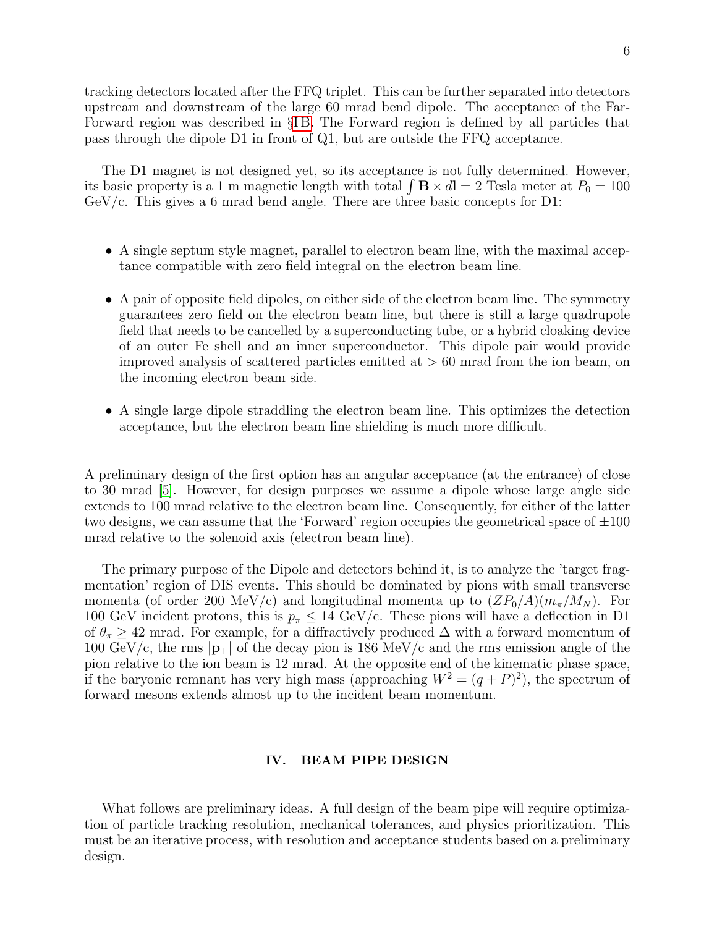tracking detectors located after the FFQ triplet. This can be further separated into detectors upstream and downstream of the large 60 mrad bend dipole. The acceptance of the Far-Forward region was described in §[I B.](#page-2-0) The Forward region is defined by all particles that pass through the dipole D1 in front of Q1, but are outside the FFQ acceptance.

The D1 magnet is not designed yet, so its acceptance is not fully determined. However, its basic property is a 1 m magnetic length with total  $\int \mathbf{B} \times d\mathbf{l} = 2$  Tesla meter at  $P_0 = 100$ GeV/c. This gives a 6 mrad bend angle. There are three basic concepts for D1:

- A single septum style magnet, parallel to electron beam line, with the maximal acceptance compatible with zero field integral on the electron beam line.
- A pair of opposite field dipoles, on either side of the electron beam line. The symmetry guarantees zero field on the electron beam line, but there is still a large quadrupole field that needs to be cancelled by a superconducting tube, or a hybrid cloaking device of an outer Fe shell and an inner superconductor. This dipole pair would provide improved analysis of scattered particles emitted at  $> 60$  mrad from the ion beam, on the incoming electron beam side.
- A single large dipole straddling the electron beam line. This optimizes the detection acceptance, but the electron beam line shielding is much more difficult.

A preliminary design of the first option has an angular acceptance (at the entrance) of close to 30 mrad [\[5\]](#page-11-5). However, for design purposes we assume a dipole whose large angle side extends to 100 mrad relative to the electron beam line. Consequently, for either of the latter two designs, we can assume that the 'Forward' region occupies the geometrical space of  $\pm 100$ mrad relative to the solenoid axis (electron beam line).

The primary purpose of the Dipole and detectors behind it, is to analyze the 'target fragmentation' region of DIS events. This should be dominated by pions with small transverse momenta (of order 200 MeV/c) and longitudinal momenta up to  $(ZP_0/A)(m_\pi/M_N)$ . For 100 GeV incident protons, this is  $p_{\pi} \leq 14$  GeV/c. These pions will have a deflection in D1 of  $\theta_{\pi} \geq 42$  mrad. For example, for a diffractively produced  $\Delta$  with a forward momentum of 100 GeV/c, the rms  $|\mathbf{p}_\perp|$  of the decay pion is 186 MeV/c and the rms emission angle of the pion relative to the ion beam is 12 mrad. At the opposite end of the kinematic phase space, if the baryonic remnant has very high mass (approaching  $W^2 = (q + P)^2$ ), the spectrum of forward mesons extends almost up to the incident beam momentum.

## <span id="page-5-0"></span>IV. BEAM PIPE DESIGN

What follows are preliminary ideas. A full design of the beam pipe will require optimization of particle tracking resolution, mechanical tolerances, and physics prioritization. This must be an iterative process, with resolution and acceptance students based on a preliminary design.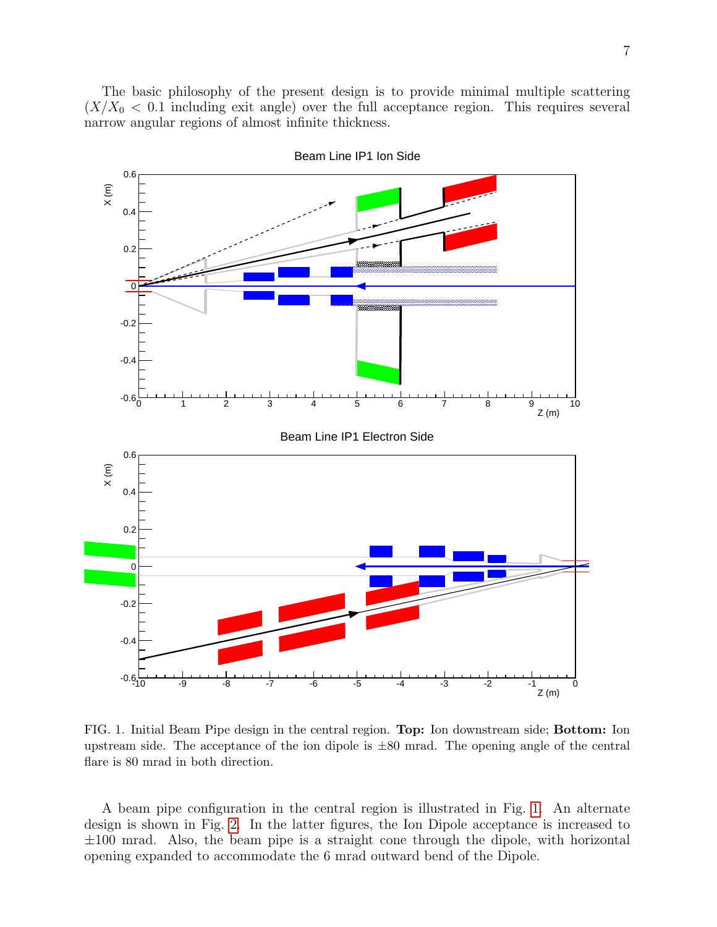The basic philosophy of the present design is to provide minimal multiple scattering  $(X/X_0 < 0.1$  including exit angle) over the full acceptance region. This requires several narrow angular regions of almost infinite thickness.



Beam Line IP1 Ion Side

<span id="page-6-0"></span>FIG. 1. Initial Beam Pipe design in the central region. Top: Ion downstream side; Bottom: Ion upstream side. The acceptance of the ion dipole is  $\pm 80$  mrad. The opening angle of the central flare is 80 mrad in both direction.

A beam pipe configuration in the central region is illustrated in Fig. [1.](#page-6-0) An alternate design is shown in Fig. [2.](#page-7-0) In the latter figures, the Ion Dipole acceptance is increased to  $\pm 100$  mrad. Also, the beam pipe is a straight cone through the dipole, with horizontal opening expanded to accommodate the 6 mrad outward bend of the Dipole.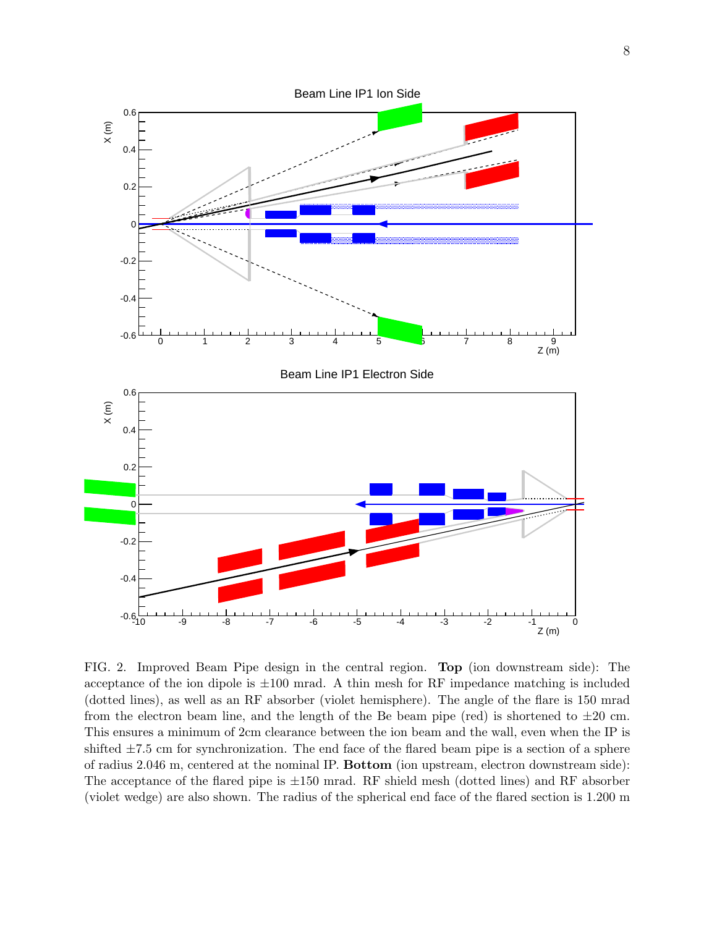

<span id="page-7-0"></span>FIG. 2. Improved Beam Pipe design in the central region. Top (ion downstream side): The acceptance of the ion dipole is  $\pm 100$  mrad. A thin mesh for RF impedance matching is included (dotted lines), as well as an RF absorber (violet hemisphere). The angle of the flare is 150 mrad from the electron beam line, and the length of the Be beam pipe (red) is shortened to  $\pm 20$  cm. This ensures a minimum of 2cm clearance between the ion beam and the wall, even when the IP is shifted  $\pm 7.5$  cm for synchronization. The end face of the flared beam pipe is a section of a sphere of radius 2.046 m, centered at the nominal IP. Bottom (ion upstream, electron downstream side): The acceptance of the flared pipe is  $\pm 150$  mrad. RF shield mesh (dotted lines) and RF absorber (violet wedge) are also shown. The radius of the spherical end face of the flared section is 1.200 m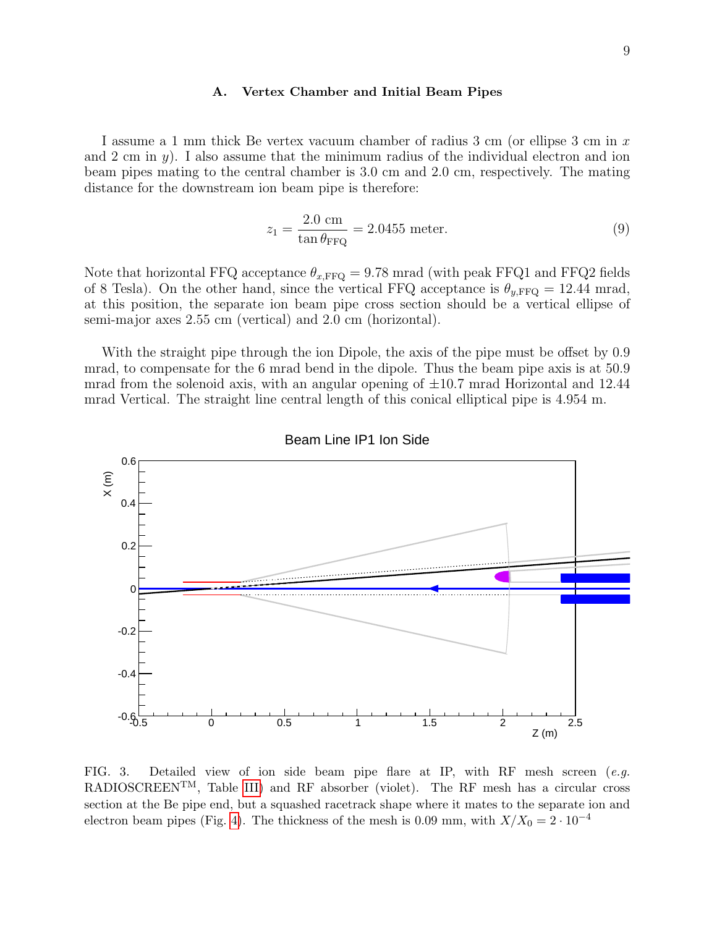#### <span id="page-8-0"></span>A. Vertex Chamber and Initial Beam Pipes

I assume a 1 mm thick Be vertex vacuum chamber of radius 3 cm (or ellipse 3 cm in x and  $2 \text{ cm in } y$ ). I also assume that the minimum radius of the individual electron and ion beam pipes mating to the central chamber is 3.0 cm and 2.0 cm, respectively. The mating distance for the downstream ion beam pipe is therefore:

$$
z_1 = \frac{2.0 \text{ cm}}{\tan \theta_{\text{FFQ}}} = 2.0455 \text{ meter.}
$$
 (9)

Note that horizontal FFQ acceptance  $\theta_{x,FFQ} = 9.78$  mrad (with peak FFQ1 and FFQ2 fields of 8 Tesla). On the other hand, since the vertical FFQ acceptance is  $\theta_{y,\text{FFQ}} = 12.44 \text{ mrad}$ , at this position, the separate ion beam pipe cross section should be a vertical ellipse of semi-major axes 2.55 cm (vertical) and 2.0 cm (horizontal).

With the straight pipe through the ion Dipole, the axis of the pipe must be offset by 0.9 mrad, to compensate for the 6 mrad bend in the dipole. Thus the beam pipe axis is at 50.9 mrad from the solenoid axis, with an angular opening of  $\pm 10.7$  mrad Horizontal and 12.44 mrad Vertical. The straight line central length of this conical elliptical pipe is 4.954 m.



Beam Line IP1 Ion Side

<span id="page-8-1"></span>FIG. 3. Detailed view of ion side beam pipe flare at IP, with RF mesh screen  $(e.g.,$ RADIOSCREENTM, Table [III\)](#page-3-2) and RF absorber (violet). The RF mesh has a circular cross section at the Be pipe end, but a squashed racetrack shape where it mates to the separate ion and electron beam pipes (Fig. [4\)](#page-9-2). The thickness of the mesh is 0.09 mm, with  $X/X_0 = 2 \cdot 10^{-4}$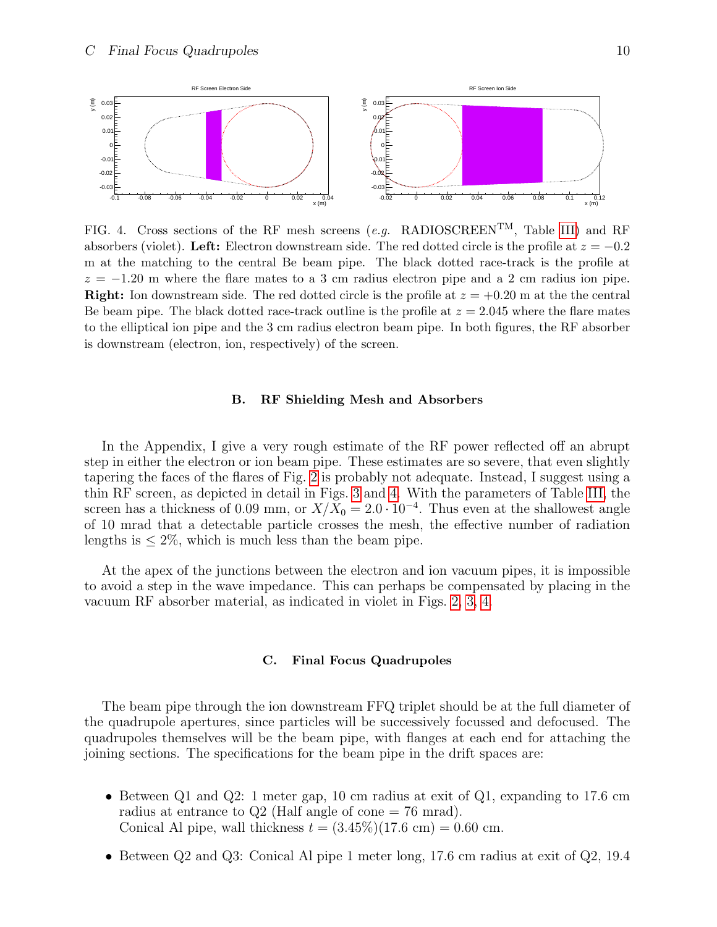

<span id="page-9-2"></span>FIG. 4. Cross sections of the RF mesh screens (e.g. RADIOSCREEN<sup>TM</sup>, Table [III\)](#page-3-2) and RF absorbers (violet). Left: Electron downstream side. The red dotted circle is the profile at  $z = -0.2$ m at the matching to the central Be beam pipe. The black dotted race-track is the profile at  $z = -1.20$  m where the flare mates to a 3 cm radius electron pipe and a 2 cm radius ion pipe. **Right:** Ion downstream side. The red dotted circle is the profile at  $z = +0.20$  m at the the central Be beam pipe. The black dotted race-track outline is the profile at  $z = 2.045$  where the flare mates to the elliptical ion pipe and the 3 cm radius electron beam pipe. In both figures, the RF absorber is downstream (electron, ion, respectively) of the screen.

## <span id="page-9-0"></span>B. RF Shielding Mesh and Absorbers

In the Appendix, I give a very rough estimate of the RF power reflected off an abrupt step in either the electron or ion beam pipe. These estimates are so severe, that even slightly tapering the faces of the flares of Fig. [2](#page-7-0) is probably not adequate. Instead, I suggest using a thin RF screen, as depicted in detail in Figs. [3](#page-8-1) and [4.](#page-9-2) With the parameters of Table [III,](#page-3-2) the screen has a thickness of 0.09 mm, or  $X/X_0 = 2.0 \cdot 10^{-4}$ . Thus even at the shallowest angle of 10 mrad that a detectable particle crosses the mesh, the effective number of radiation lengths is  $\leq 2\%$ , which is much less than the beam pipe.

At the apex of the junctions between the electron and ion vacuum pipes, it is impossible to avoid a step in the wave impedance. This can perhaps be compensated by placing in the vacuum RF absorber material, as indicated in violet in Figs. [2,](#page-7-0) [3,](#page-8-1) [4.](#page-9-2)

### <span id="page-9-1"></span>C. Final Focus Quadrupoles

The beam pipe through the ion downstream FFQ triplet should be at the full diameter of the quadrupole apertures, since particles will be successively focussed and defocused. The quadrupoles themselves will be the beam pipe, with flanges at each end for attaching the joining sections. The specifications for the beam pipe in the drift spaces are:

- Between Q1 and Q2: 1 meter gap, 10 cm radius at exit of Q1, expanding to 17.6 cm radius at entrance to Q2 (Half angle of cone  $= 76$  mrad). Conical Al pipe, wall thickness  $t = (3.45\%)(17.6 \text{ cm}) = 0.60 \text{ cm}$ .
- Between Q2 and Q3: Conical Al pipe 1 meter long, 17.6 cm radius at exit of Q2, 19.4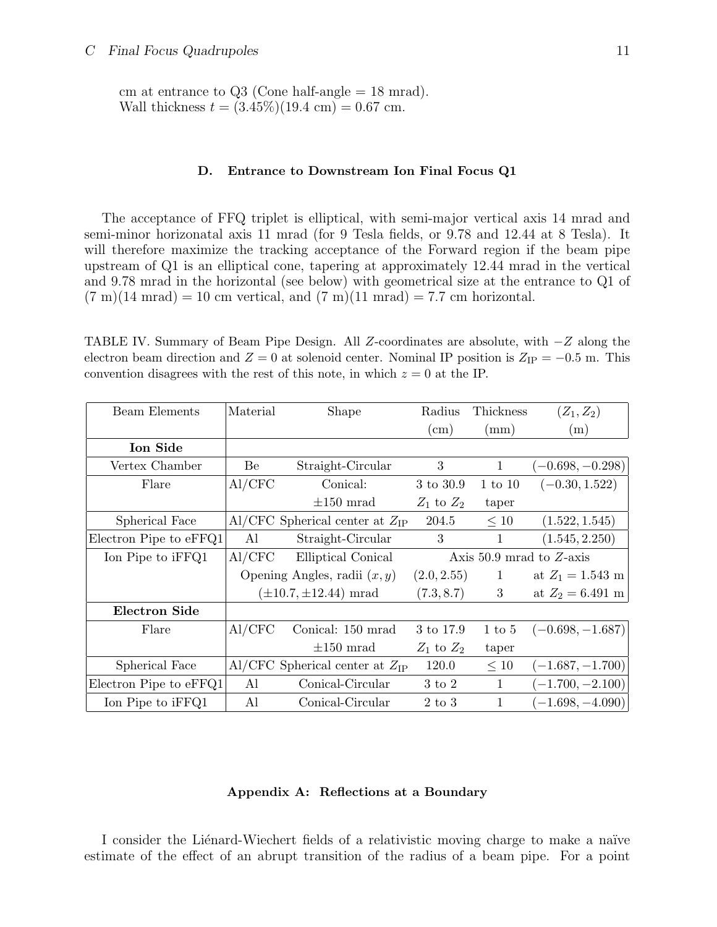cm at entrance to  $Q3$  (Cone half-angle  $= 18$  mrad). Wall thickness  $t = (3.45\%) (19.4 \text{ cm}) = 0.67 \text{ cm}.$ 

#### <span id="page-10-0"></span>D. Entrance to Downstream Ion Final Focus Q1

The acceptance of FFQ triplet is elliptical, with semi-major vertical axis 14 mrad and semi-minor horizonatal axis 11 mrad (for 9 Tesla fields, or 9.78 and 12.44 at 8 Tesla). It will therefore maximize the tracking acceptance of the Forward region if the beam pipe upstream of Q1 is an elliptical cone, tapering at approximately 12.44 mrad in the vertical and 9.78 mrad in the horizontal (see below) with geometrical size at the entrance to Q1 of  $(7 \text{ m})(14 \text{ mrad}) = 10 \text{ cm}$  vertical, and  $(7 \text{ m})(11 \text{ mrad}) = 7.7 \text{ cm}$  horizontal.

TABLE IV. Summary of Beam Pipe Design. All Z-coordinates are absolute, with −Z along the electron beam direction and  $Z = 0$  at solenoid center. Nominal IP position is  $Z_{\text{IP}} = -0.5$  m. This convention disagrees with the rest of this note, in which  $z = 0$  at the IP.

| Beam Elements          | Material | <b>Shape</b>                              | Radius                     | Thickness         | $(Z_1, Z_2)$       |
|------------------------|----------|-------------------------------------------|----------------------------|-------------------|--------------------|
|                        |          |                                           | $\rm (cm)$                 | (mm)              | (m)                |
| <b>Ion Side</b>        |          |                                           |                            |                   |                    |
| Vertex Chamber         | Be       | Straight-Circular                         | 3                          | $\mathbf{1}$      | $(-0.698, -0.298)$ |
| Flare                  | Al/CFC   | Conical:                                  | 3 to 30.9                  | $1$ to $10$       | $(-0.30, 1.522)$   |
|                        |          | $\pm 150$ mrad                            | $Z_1$ to $Z_2$             | taper             |                    |
| Spherical Face         |          | Al/CFC Spherical center at $Z_{IP}$       | 204.5                      | $\leq 10$         | (1.522, 1.545)     |
| Electron Pipe to eFFQ1 | Al       | Straight-Circular                         | 3                          | $\mathbf 1$       | (1.545, 2.250)     |
| Ion Pipe to iFFQ1      | Al/CFC   | Elliptical Conical                        | Axis $50.9$ mrad to Z-axis |                   |                    |
|                        |          | Opening Angles, radii $(x, y)$            | (2.0, 2.55)                | $\mathbf 1$       | at $Z_1 = 1.543$ m |
|                        |          | $(\pm 10.7, \pm 12.44)$ mrad              | (7.3, 8.7)                 | 3                 | at $Z_2 = 6.491$ m |
| <b>Electron Side</b>   |          |                                           |                            |                   |                    |
| Flare                  | Al/CFC   | Conical: 150 mrad                         | 3 to 17.9                  | $1 \text{ to } 5$ | $(-0.698, -1.687)$ |
|                        |          | $\pm 150$ mrad                            | $Z_1$ to $Z_2$             | taper             |                    |
| Spherical Face         |          | $\rm Al/CFC$ Spherical center at $Z_{IP}$ | 120.0                      | $\leq 10$         | $(-1.687, -1.700)$ |
| Electron Pipe to eFFQ1 | Al       | Conical-Circular                          | 3 to 2                     | $\mathbf{1}$      | $(-1.700, -2.100)$ |
| Ion Pipe to iFFQ1      | Al       | Conical-Circular                          | $2 \text{ to } 3$          | $\mathbf 1$       | $(-1.698, -4.090)$ |

# <span id="page-10-1"></span>Appendix A: Reflections at a Boundary

I consider the Liénard-Wiechert fields of a relativistic moving charge to make a naïve estimate of the effect of an abrupt transition of the radius of a beam pipe. For a point